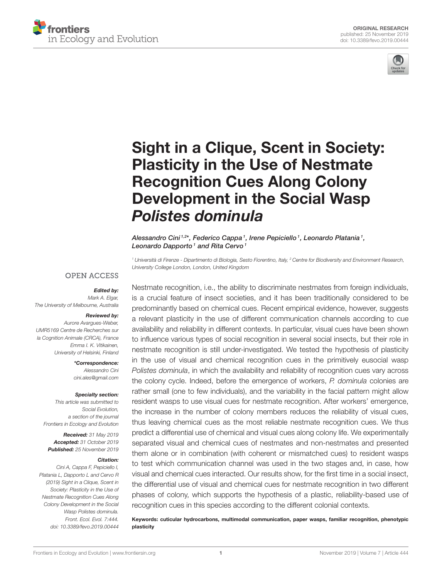



# [Sight in a Clique, Scent in Society:](https://www.frontiersin.org/articles/10.3389/fevo.2019.00444/full) Plasticity in the Use of Nestmate Recognition Cues Along Colony Development in the Social Wasp Polistes dominula

[Alessandro Cini](http://loop.frontiersin.org/people/194200/overview) 1,2\*, [Federico Cappa](http://loop.frontiersin.org/people/573602/overview) 1, [Irene Pepiciello](http://loop.frontiersin.org/people/849257/overview) 1, [Leonardo Platania](http://loop.frontiersin.org/people/849258/overview) 1, Leonardo Dapporto<sup> $1$ </sup> and [Rita Cervo](http://loop.frontiersin.org/people/162291/overview)<sup> $1$ </sup>

<sup>1</sup> Università di Firenze - Dipartimento di Biologia, Sesto Fiorentino, Italy, <sup>2</sup> Centre for Biodiversity and Environment Research, University College London, London, United Kingdom

### **OPEN ACCESS**

### Edited by:

Mark A. Elgar, The University of Melbourne, Australia

### Reviewed by:

Aurore Avargues-Weber, UMR5169 Centre de Recherches sur la Cognition Animale (CRCA), France Emma I. K. Vitikainen, University of Helsinki, Finland

> \*Correspondence: Alessandro Cini [cini.ales@gmail.com](mailto:cini.ales@gmail.com)

### Specialty section:

This article was submitted to Social Evolution, a section of the journal Frontiers in Ecology and Evolution

Received: 31 May 2019 Accepted: 31 October 2019 Published: 25 November 2019

### Citation:

Cini A, Cappa F, Pepiciello I, Platania L, Dapporto L and Cervo R (2019) Sight in a Clique, Scent in Society: Plasticity in the Use of Nestmate Recognition Cues Along Colony Development in the Social Wasp Polistes dominula. Front. Ecol. Evol. 7:444. doi: [10.3389/fevo.2019.00444](https://doi.org/10.3389/fevo.2019.00444)

Nestmate recognition, i.e., the ability to discriminate nestmates from foreign individuals, is a crucial feature of insect societies, and it has been traditionally considered to be predominantly based on chemical cues. Recent empirical evidence, however, suggests a relevant plasticity in the use of different communication channels according to cue availability and reliability in different contexts. In particular, visual cues have been shown to influence various types of social recognition in several social insects, but their role in nestmate recognition is still under-investigated. We tested the hypothesis of plasticity in the use of visual and chemical recognition cues in the primitively eusocial wasp Polistes dominula, in which the availability and reliability of recognition cues vary across the colony cycle. Indeed, before the emergence of workers, P. dominula colonies are rather small (one to few individuals), and the variability in the facial pattern might allow resident wasps to use visual cues for nestmate recognition. After workers' emergence, the increase in the number of colony members reduces the reliability of visual cues, thus leaving chemical cues as the most reliable nestmate recognition cues. We thus predict a differential use of chemical and visual cues along colony life. We experimentally separated visual and chemical cues of nestmates and non-nestmates and presented them alone or in combination (with coherent or mismatched cues) to resident wasps to test which communication channel was used in the two stages and, in case, how visual and chemical cues interacted. Our results show, for the first time in a social insect, the differential use of visual and chemical cues for nestmate recognition in two different phases of colony, which supports the hypothesis of a plastic, reliability-based use of recognition cues in this species according to the different colonial contexts.

Keywords: cuticular hydrocarbons, multimodal communication, paper wasps, familiar recognition, phenotypic plasticity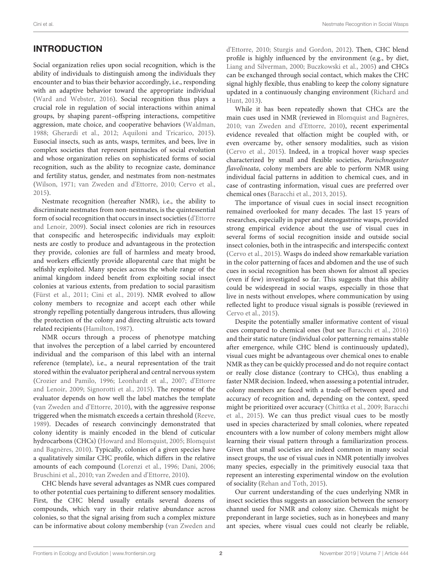# INTRODUCTION

Social organization relies upon social recognition, which is the ability of individuals to distinguish among the individuals they encounter and to bias their behavior accordingly, i.e., responding with an adaptive behavior toward the appropriate individual [\(Ward and Webster, 2016\)](#page-11-0). Social recognition thus plays a crucial role in regulation of social interactions within animal groups, by shaping parent–offspring interactions, competitive aggression, mate choice, and cooperative behaviors [\(Waldman,](#page-11-1) [1988;](#page-11-1) [Gherardi et al., 2012;](#page-10-0) [Aquiloni and Tricarico, 2015\)](#page-9-0). Eusocial insects, such as ants, wasps, termites, and bees, live in complex societies that represent pinnacles of social evolution and whose organization relies on sophisticated forms of social recognition, such as the ability to recognize caste, dominance and fertility status, gender, and nestmates from non-nestmates [\(Wilson, 1971;](#page-11-2) [van Zweden and d'Ettorre, 2010;](#page-10-1) [Cervo et al.,](#page-9-1) [2015\)](#page-9-1).

Nestmate recognition (hereafter NMR), i.e., the ability to discriminate nestmates from non-nestmates, is the quintessential form of social recognition that occurs in insect societies (d'Ettorre and Lenoir, [2009\)](#page-10-2). Social insect colonies are rich in resources that conspecific and heterospecific individuals may exploit: nests are costly to produce and advantageous in the protection they provide, colonies are full of harmless and meaty brood, and workers efficiently provide alloparental care that might be selfishly exploited. Many species across the whole range of the animal kingdom indeed benefit from exploiting social insect colonies at various extents, from predation to social parasitism [\(Fürst et al., 2011;](#page-10-3) [Cini et al., 2019\)](#page-9-2). NMR evolved to allow colony members to recognize and accept each other while strongly repelling potentially dangerous intruders, thus allowing the protection of the colony and directing altruistic acts toward related recipients [\(Hamilton, 1987\)](#page-10-4).

NMR occurs through a process of phenotype matching that involves the perception of a label carried by encountered individual and the comparison of this label with an internal reference (template), i.e., a neural representation of the trait stored within the evaluator peripheral and central nervous system [\(Crozier and Pamilo, 1996;](#page-9-3) [Leonhardt et al., 2007;](#page-10-5) d'Ettorre and Lenoir, [2009;](#page-10-2) [Signorotti et al., 2015\)](#page-10-6). The response of the evaluator depends on how well the label matches the template [\(van Zweden and d'Ettorre, 2010\)](#page-10-1), with the aggressive response triggered when the mismatch exceeds a certain threshold [\(Reeve,](#page-10-7) [1989\)](#page-10-7). Decades of research convincingly demonstrated that colony identity is mainly encoded in the blend of cuticular hydrocarbons (CHCs) [\(Howard and Blomquist, 2005;](#page-10-8) Blomquist and Bagnères, [2010\)](#page-9-4). Typically, colonies of a given species have a qualitatively similar CHC profile, which differs in the relative amounts of each compound [\(Lorenzi et al., 1996;](#page-10-9) [Dani, 2006;](#page-9-5) [Bruschini et al., 2010;](#page-9-6) [van Zweden and d'Ettorre, 2010\)](#page-10-1).

CHC blends have several advantages as NMR cues compared to other potential cues pertaining to different sensory modalities. First, the CHC blend usually entails several dozens of compounds, which vary in their relative abundance across colonies, so that the signal arising from such a complex mixture can be informative about colony membership (van Zweden and

d'Ettorre, [2010;](#page-10-1) [Sturgis and Gordon, 2012\)](#page-10-10). Then, CHC blend profile is highly influenced by the environment (e.g., by diet, [Liang and Silverman, 2000;](#page-10-11) [Buczkowski et al., 2005\)](#page-9-7) and CHCs can be exchanged through social contact, which makes the CHC signal highly flexible, thus enabling to keep the colony signature updated in a continuously changing environment (Richard and Hunt, [2013\)](#page-10-12).

While it has been repeatedly shown that CHCs are the main cues used in NMR (reviewed in [Blomquist and Bagnères,](#page-9-4) [2010;](#page-9-4) [van Zweden and d'Ettorre, 2010\)](#page-10-1), recent experimental evidence revealed that olfaction might be coupled with, or even overcame by, other sensory modalities, such as vision [\(Cervo et al., 2015\)](#page-9-1). Indeed, in a tropical hover wasp species characterized by small and flexible societies, Parischnogaster flavolineata, colony members are able to perform NMR using individual facial patterns in addition to chemical cues, and in case of contrasting information, visual cues are preferred over chemical ones [\(Baracchi et al., 2013,](#page-9-8) [2015\)](#page-9-9).

The importance of visual cues in social insect recognition remained overlooked for many decades. The last 15 years of researches, especially in paper and stenogastrine wasps, provided strong empirical evidence about the use of visual cues in several forms of social recognition inside and outside social insect colonies, both in the intraspecific and interspecific context [\(Cervo et al., 2015\)](#page-9-1). Wasps do indeed show remarkable variation in the color patterning of faces and abdomen and the use of such cues in social recognition has been shown for almost all species (even if few) investigated so far. This suggests that this ability could be widespread in social wasps, especially in those that live in nests without envelopes, where communication by using reflected light to produce visual signals is possible (reviewed in [Cervo et al., 2015\)](#page-9-1).

Despite the potentially smaller informative content of visual cues compared to chemical ones (but see [Baracchi et al., 2016\)](#page-9-10) and their static nature (individual color patterning remains stable after emergence, while CHC blend is continuously updated), visual cues might be advantageous over chemical ones to enable NMR as they can be quickly processed and do not require contact or really close distance (contrary to CHCs), thus enabling a faster NMR decision. Indeed, when assessing a potential intruder, colony members are faced with a trade-off between speed and accuracy of recognition and, depending on the context, speed might be prioritized over accuracy [\(Chittka et al., 2009;](#page-9-11) Baracchi et al., [2015\)](#page-9-9). We can thus predict visual cues to be mostly used in species characterized by small colonies, where repeated encounters with a low number of colony members might allow learning their visual pattern through a familiarization process. Given that small societies are indeed common in many social insect groups, the use of visual cues in NMR potentially involves many species, especially in the primitively eusocial taxa that represent an interesting experimental window on the evolution of sociality [\(Rehan and Toth, 2015\)](#page-10-13).

Our current understanding of the cues underlying NMR in insect societies thus suggests an association between the sensory channel used for NMR and colony size. Chemicals might be preponderant in large societies, such as in honeybees and many ant species, where visual cues could not clearly be reliable,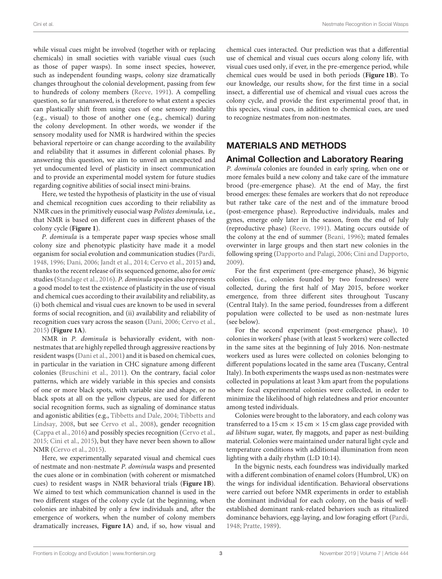while visual cues might be involved (together with or replacing chemicals) in small societies with variable visual cues (such as those of paper wasps). In some insect species, however, such as independent founding wasps, colony size dramatically changes throughout the colonial development, passing from few to hundreds of colony members [\(Reeve, 1991\)](#page-10-14). A compelling question, so far unanswered, is therefore to what extent a species can plastically shift from using cues of one sensory modality (e.g., visual) to those of another one (e.g., chemical) during the colony development. In other words, we wonder if the sensory modality used for NMR is hardwired within the species behavioral repertoire or can change according to the availability and reliability that it assumes in different colonial phases. By answering this question, we aim to unveil an unexpected and yet undocumented level of plasticity in insect communication and to provide an experimental model system for future studies regarding cognitive abilities of social insect mini-brains.

Here, we tested the hypothesis of plasticity in the use of visual and chemical recognition cues according to their reliability as NMR cues in the primitively eusocial wasp Polistes dominula, i.e., that NMR is based on different cues in different phases of the colony cycle (**[Figure 1](#page-3-0)**).

P. dominula is a temperate paper wasp species whose small colony size and phenotypic plasticity have made it a model organism for social evolution and communication studies [\(Pardi,](#page-10-15) [1948,](#page-10-15) [1996;](#page-10-16) [Dani, 2006;](#page-9-5) [Jandt et al., 2014;](#page-10-17) [Cervo et al., 2015\)](#page-9-1) and, thanks to the recent release of its sequenced genome, also for omic studies [\(Standage et al., 2016\)](#page-10-18). P. dominula species also represents a good model to test the existence of plasticity in the use of visual and chemical cues according to their availability and reliability, as (i) both chemical and visual cues are known to be used in several forms of social recognition, and (ii) availability and reliability of recognition cues vary across the season [\(Dani, 2006;](#page-9-5) [Cervo et al.,](#page-9-1) [2015\)](#page-9-1) (**[Figure 1A](#page-3-0)**).

NMR in P. dominula is behaviorally evident, with nonnestmates that are highly repelled through aggressive reactions by resident wasps [\(Dani et al., 2001\)](#page-10-19) and it is based on chemical cues, in particular in the variation in CHC signature among different colonies [\(Bruschini et al., 2011\)](#page-9-12). On the contrary, facial color patterns, which are widely variable in this species and consists of one or more black spots, with variable size and shape, or no black spots at all on the yellow clypeus, are used for different social recognition forms, such as signaling of dominance status and agonistic abilities (e.g., [Tibbetts and Dale, 2004;](#page-10-20) Tibbetts and Lindsay, [2008,](#page-10-21) but see [Cervo et al., 2008\)](#page-9-13), gender recognition [\(Cappa et al., 2016\)](#page-9-14) and possibly species recognition [\(Cervo et al.,](#page-9-1) [2015;](#page-9-1) [Cini et al., 2015\)](#page-9-15), but they have never been shown to allow NMR [\(Cervo et al., 2015\)](#page-9-1).

Here, we experimentally separated visual and chemical cues of nestmate and non-nestmate P. dominula wasps and presented the cues alone or in combination (with coherent or mismatched cues) to resident wasps in NMR behavioral trials (**[Figure 1B](#page-3-0)**). We aimed to test which communication channel is used in the two different stages of the colony cycle (at the beginning, when colonies are inhabited by only a few individuals and, after the emergence of workers, when the number of colony members dramatically increases, **[Figure 1A](#page-3-0)**) and, if so, how visual and chemical cues interacted. Our prediction was that a differential use of chemical and visual cues occurs along colony life, with visual cues used only, if ever, in the pre-emergence period, while chemical cues would be used in both periods (**[Figure 1B](#page-3-0)**). To our knowledge, our results show, for the first time in a social insect, a differential use of chemical and visual cues across the colony cycle, and provide the first experimental proof that, in this species, visual cues, in addition to chemical cues, are used to recognize nestmates from non-nestmates.

# MATERIALS AND METHODS

# Animal Collection and Laboratory Rearing

P. dominula colonies are founded in early spring, when one or more females build a new colony and take care of the immature brood (pre-emergence phase). At the end of May, the first brood emerges: these females are workers that do not reproduce but rather take care of the nest and of the immature brood (post-emergence phase). Reproductive individuals, males and gynes, emerge only later in the season, from the end of July (reproductive phase) [\(Reeve, 1991\)](#page-10-14). Mating occurs outside of the colony at the end of summer [\(Beani, 1996\)](#page-9-16); mated females overwinter in large groups and then start new colonies in the following spring [\(Dapporto and Palagi, 2006;](#page-10-22) [Cini and Dapporto,](#page-9-17) [2009\)](#page-9-17).

For the first experiment (pre-emergence phase), 36 bigynic colonies (i.e., colonies founded by two foundresses) were collected, during the first half of May 2015, before worker emergence, from three different sites throughout Tuscany (Central Italy). In the same period, foundresses from a different population were collected to be used as non-nestmate lures (see below).

For the second experiment (post-emergence phase), 10 colonies in workers' phase (with at least 5 workers) were collected in the same sites at the beginning of July 2016. Non-nestmate workers used as lures were collected on colonies belonging to different populations located in the same area (Tuscany, Central Italy). In both experiments the wasps used as non-nestmates were collected in populations at least 3 km apart from the populations where focal experimental colonies were collected, in order to minimize the likelihood of high relatedness and prior encounter among tested individuals.

Colonies were brought to the laboratory, and each colony was transferred to a 15 cm  $\times$  15 cm  $\times$  15 cm glass cage provided with ad libitum sugar, water, fly maggots, and paper as nest-building material. Colonies were maintained under natural light cycle and temperature conditions with additional illumination from neon lighting with a daily rhythm (L:D 10:14).

In the bigynic nests, each foundress was individually marked with a different combination of enamel colors (Humbrol, UK) on the wings for individual identification. Behavioral observations were carried out before NMR experiments in order to establish the dominant individual for each colony, on the basis of wellestablished dominant rank-related behaviors such as ritualized dominance behaviors, egg-laying, and low foraging effort [\(Pardi,](#page-10-15) [1948;](#page-10-15) [Pratte, 1989\)](#page-10-23).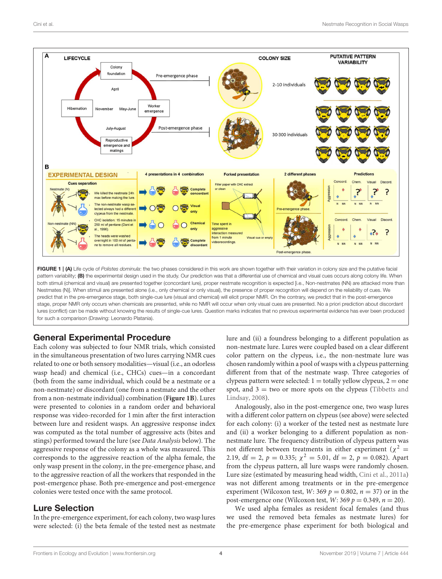

<span id="page-3-0"></span>pattern variability; (B) the experimental design used in the study. Our prediction was that a differential use of chemical and visual cues occurs along colony life. When both stimuli (chemical and visual) are presented together (concordant lure), proper nestmate recognition is expected [i.e., Non-nestmates (NN) are attacked more than Nestmates (N)]. When stimuli are presented alone (i.e., only chemical or only visual), the presence of proper recognition will depend on the reliability of cues. We predict that in the pre-emergence stage, both single-cue lure (visual and chemical) will elicit proper NMR. On the contrary, we predict that in the post-emergence stage, proper NMR only occurs when chemicals are presented, while no NMR will occur when only visual cues are presented. No a priori prediction about discordant lures (conflict) can be made without knowing the results of single-cue lures. Question marks indicates that no previous experimental evidence has ever been produced for such a comparison (Drawing: Leonardo Platania).

# General Experimental Procedure

Each colony was subjected to four NMR trials, which consisted in the simultaneous presentation of two lures carrying NMR cues related to one or both sensory modalities—visual (i.e., an odorless wasp head) and chemical (i.e., CHCs) cues—in a concordant (both from the same individual, which could be a nestmate or a non-nestmate) or discordant (one from a nestmate and the other from a non-nestmate individual) combination (**[Figure 1B](#page-3-0)**). Lures were presented to colonies in a random order and behavioral response was video-recorded for 1 min after the first interaction between lure and resident wasps. An aggressive response index was computed as the total number of aggressive acts (bites and stings) performed toward the lure (see Data Analysis below). The aggressive response of the colony as a whole was measured. This corresponds to the aggressive reaction of the alpha female, the only wasp present in the colony, in the pre-emergence phase, and to the aggressive reaction of all the workers that responded in the post-emergence phase. Both pre-emergence and post-emergence colonies were tested once with the same protocol.

# Lure Selection

In the pre-emergence experiment, for each colony, two wasp lures were selected: (i) the beta female of the tested nest as nestmate lure and (ii) a foundress belonging to a different population as non-nestmate lure. Lures were coupled based on a clear different color pattern on the clypeus, i.e., the non-nestmate lure was chosen randomly within a pool of wasps with a clypeus patterning different from that of the nestmate wasp. Three categories of clypeus pattern were selected:  $1 =$  totally yellow clypeus,  $2 =$  one spot, and  $3 = two$  or more spots on the clypeus (Tibbetts and Lindsay, [2008\)](#page-10-21).

Analogously, also in the post-emergence one, two wasp lures with a different color pattern on clypeus (see above) were selected for each colony: (i) a worker of the tested nest as nestmate lure and (ii) a worker belonging to a different population as nonnestmate lure. The frequency distribution of clypeus pattern was not different between treatments in either experiment ( $\chi^2$  = 2.19, df = 2,  $p = 0.335$ ;  $\chi^2 = 5.01$ , df = 2,  $p = 0.082$ ). Apart from the clypeus pattern, all lure wasps were randomly chosen. Lure size (estimated by measuring head width, [Cini et al., 2011a\)](#page-9-18) was not different among treatments or in the pre-emergence experiment (Wilcoxon test, W: 369  $p = 0.802$ ,  $n = 37$ ) or in the post-emergence one (Wilcoxon test,  $W: 369 p = 0.349, n = 20$ ).

We used alpha females as resident focal females (and thus we used the removed beta females as nestmate lures) for the pre-emergence phase experiment for both biological and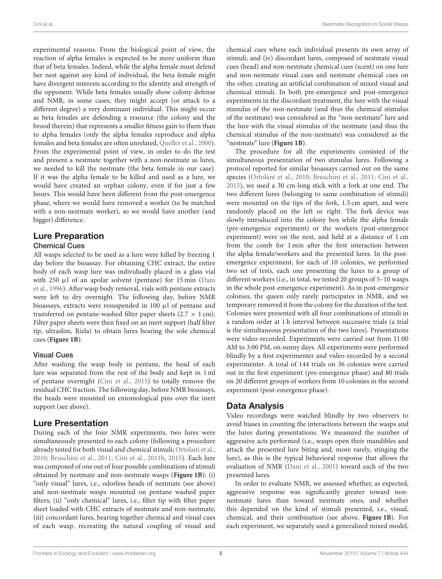experimental reasons. From the biological point of view, the reaction of alpha females is expected to be more uniform than that of beta females. Indeed, while the alpha female must defend her nest against any kind of individual, the beta female might have divergent interests according to the identity and strength of the opponent. While beta females usually show colony defense and NMR, in some cases, they might accept (or attack to a different degree) a very dominant individual. This might occur as beta females are defending a resource (the colony and the brood therein) that represents a smaller fitness gain to them than to alpha females (only the alpha females reproduce and alpha females and beta females are often unrelated, [Queller et al., 2000\)](#page-10-24). From the experimental point of view, in order to do the test and present a nestmate together with a non-nestmate as lures, we needed to kill the nestmate (the beta female in our case). If it was the alpha female to be killed and used as a lure, we would have created an orphan colony, even if for just a few hours. This would have been different from the post-emergence phase, where we would have removed a worker (to be matched with a non-nestmate worker), so we would have another (and bigger) difference.

### Lure Preparation Chemical Cues

All wasps selected to be used as a lure were killed by freezing 1 day before the bioassay. For obtaining CHC extract, the entire body of each wasp lure was individually placed in a glass vial with 250 µl of an apolar solvent (pentane) for 15 min (Dani et al., [1996\)](#page-9-19). After wasp body removal, vials with pentane extracts were left to dry overnight. The following day, before NMR bioassays, extracts were resuspended in 100 µl of pentane and transferred on pentane-washed filter paper sheets ( $2.7 \times 1$  cm). Filter paper sheets were then fixed on an inert support (half filter tip, ultraslim, Rizla) to obtain lures bearing the sole chemical cues (**[Figure 1B](#page-3-0)**).

### Visual Cues

After washing the wasp body in pentane, the head of each lure was separated from the rest of the body and kept in 1 ml of pentane overnight [\(Cini et al., 2015\)](#page-9-15) to totally remove the residual CHC fraction. The following day, before NMR bioassays, the heads were mounted on entomological pins over the inert support (see above).

# Lure Presentation

During each of the four NMR experiments, two lures were simultaneously presented to each colony (following a procedure already tested for both visual and chemical stimuli; [Ortolani et al.,](#page-10-25) [2010;](#page-10-25) [Bruschini et al., 2011;](#page-9-12) [Cini et al., 2011b,](#page-9-20) [2015\)](#page-9-15). Each lure was composed of one out of four possible combinations of stimuli obtained by nestmate and non-nestmate wasps (**[Figure 1B](#page-3-0)**): (i) "only visual" lures, i.e., odorless heads of nestmate (see above) and non-nestmate wasps mounted on pentane washed paper filters; (ii) "only chemical" lures, i.e., filter tip with filter paper sheet loaded with CHC extracts of nestmate and non-nestmate; (iii) concordant lures, bearing together chemical and visual cues of each wasp, recreating the natural coupling of visual and

chemical cues where each individual presents its own array of stimuli; and (iv) discordant lures, composed of nestmate visual cues (head) and non-nestmate chemical cues (scent) on one lure and non-nestmate visual cues and nestmate chemical cues on the other, creating an artificial combination of mixed visual and chemical stimuli. In both pre-emergence and post-emergence experiments in the discordant treatment, the lure with the visual stimulus of the non-nestmate (and thus the chemical stimulus of the nestmate) was considered as the "non-nestmate" lure and the lure with the visual stimulus of the nestmate (and thus the chemical stimulus of the non-nestmate) was considered as the "nestmate" lure (**[Figure 1B](#page-3-0)**).

The procedure for all the experiments consisted of the simultaneous presentation of two stimulus lures. Following a protocol reported for similar bioassays carried out on the same species [\(Ortolani et al., 2010;](#page-10-25) [Bruschini et al., 2011;](#page-9-12) [Cini et al.,](#page-9-15) [2015\)](#page-9-15), we used a 30 cm-long stick with a fork at one end. The two different lures (belonging to same combination of stimuli) were mounted on the tips of the fork, 1.5 cm apart, and were randomly placed on the left or right. The fork device was slowly introduced into the colony box while the alpha female (pre-emergence experiment) or the workers (post-emergence experiment) were on the nest, and held at a distance of 1 cm from the comb for 1 min after the first interaction between the alpha female/workers and the presented lures. In the postemergence experiment, for each of 10 colonies, we performed two set of tests, each one presenting the lures to a group of different workers (i.e., in total, we tested 20 groups of 5–10 wasps in the whole post-emergence experiment). As in post-emergence colonies, the queen only rarely participates in NMR, and we temporary removed it from the colony for the duration of the test. Colonies were presented with all four combinations of stimuli in a random order at 1 h interval between successive trials (a trial is the simultaneous presentation of the two lures). Presentations were video-recorded. Experiments were carried out from 11:00 AM to 3:00 PM, on sunny days. All experiments were performed blindly by a first experimenter and video-recorded by a second experimenter. A total of 144 trials on 36 colonies were carried out in the first experiment (pre-emergence phase) and 80 trials on 20 different groups of workers from 10 colonies in the second experiment (post-emergence phase).

# Data Analysis

Video recordings were watched blindly by two observers to avoid biases in counting the interactions between the wasps and the lures during presentations. We measured the number of aggressive acts performed (i.e., wasps open their mandibles and attack the presented lure biting and, more rarely, stinging the lure), as this is the typical behavioral response that allows the evaluation of NMR [\(Dani et al., 2001\)](#page-10-19) toward each of the two presented lures.

In order to evaluate NMR, we assessed whether, as expected, aggressive response was significantly greater toward nonnestmate lures than toward nestmate ones, and whether this depended on the kind of stimuli presented, i.e., visual, chemical, and their combination (see above, **[Figure 1B](#page-3-0)**). For each experiment, we separately used a generalized mixed model,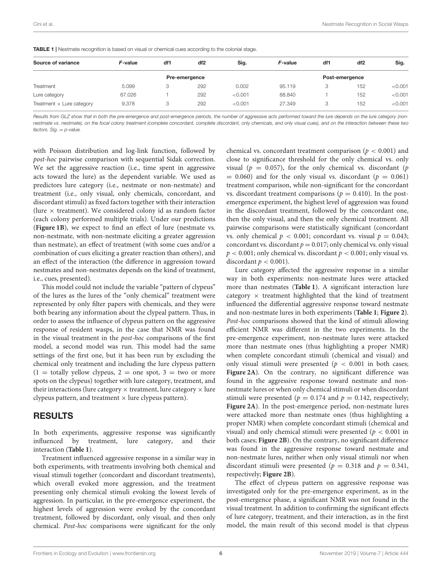| Source of variance               | F-value | df1 | df2           | Sig.    | F-value | df1 | df <sub>2</sub> | Sig.    |  |
|----------------------------------|---------|-----|---------------|---------|---------|-----|-----------------|---------|--|
|                                  |         |     | Pre-emergence |         |         |     | Post-emergence  |         |  |
| Treatment                        | 5.099   | 3   | 292           | 0.002   | 95.119  | 3   | 152             | < 0.001 |  |
| Lure category                    | 67.026  |     | 292           | < 0.001 | 88.840  |     | 152             | < 0.001 |  |
| Treatment $\times$ Lure category | 9.378   | 3   | 292           | < 0.001 | 27.349  | 3   | 152             | < 0.001 |  |

<span id="page-5-0"></span>**TABLE 1** I Nestmate recognition is based on visual or chemical cues according to the colonial stage.

Results from GLZ show that in both the pre-emergence and post-emergence periods, the number of aggressive acts performed toward the lure depends on the lure category (nonnestmate vs. nestmate), on the focal colony treatment (complete concordant, complete discordant, only chemicals, and only visual cues), and on the interaction between these two  $factors.$  Sig.  $= p-value$ .

with Poisson distribution and log-link function, followed by post-hoc pairwise comparison with sequential Sidak correction. We set the aggressive reaction (i.e., time spent in aggressive acts toward the lure) as the dependent variable. We used as predictors lure category (i.e., nestmate or non-nestmate) and treatment (i.e., only visual, only chemicals, concordant, and discordant stimuli) as fixed factors together with their interaction (lure  $\times$  treatment). We considered colony id as random factor (each colony performed multiple trials). Under our predictions (**[Figure 1B](#page-3-0)**), we expect to find an effect of lure (nestmate vs. non-nestmate, with non-nestmate eliciting a greater aggression than nestmate), an effect of treatment (with some cues and/or a combination of cues eliciting a greater reaction than others), and an effect of the interaction (the difference in aggression toward nestmates and non-nestmates depends on the kind of treatment, i.e., cues, presented).

This model could not include the variable "pattern of clypeus" of the lures as the lures of the "only chemical" treatment were represented by only filter papers with chemicals, and they were both bearing any information about the clypeal pattern. Thus, in order to assess the influence of clypeus pattern on the aggressive response of resident wasps, in the case that NMR was found in the visual treatment in the post-hoc comparisons of the first model, a second model was run. This model had the same settings of the first one, but it has been run by excluding the chemical only treatment and including the lure clypeus pattern  $(1 =$  totally yellow clypeus,  $2 =$  one spot,  $3 =$  two or more spots on the clypeus) together with lure category, treatment, and their interactions (lure category  $\times$  treatment, lure category  $\times$  lure clypeus pattern, and treatment  $\times$  lure clypeus pattern).

### RESULTS

In both experiments, aggressive response was significantly influenced by treatment, lure category, and their interaction (**[Table 1](#page-5-0)**).

Treatment influenced aggressive response in a similar way in both experiments, with treatments involving both chemical and visual stimuli together (concordant and discordant treatments), which overall evoked more aggression, and the treatment presenting only chemical stimuli evoking the lowest levels of aggression. In particular, in the pre-emergence experiment, the highest levels of aggression were evoked by the concordant treatment, followed by discordant, only visual, and then only chemical. Post-hoc comparisons were significant for the only chemical vs. concordant treatment comparison ( $p < 0.001$ ) and close to significance threshold for the only chemical vs. only visual ( $p = 0.057$ ), for the only chemical vs. discordant ( $p$  $= 0.060$ ) and for the only visual vs. discordant ( $p = 0.061$ ) treatment comparison, while non-significant for the concordant vs. discordant treatment comparisons ( $p = 0.410$ ). In the postemergence experiment, the highest level of aggression was found in the discordant treatment, followed by the concordant one, then the only visual, and then the only chemical treatment. All pairwise comparisons were statistically significant (concordant vs. only chemical  $p < 0.001$ ; concordant vs. visual  $p = 0.043$ ; concordant vs. discordant  $p = 0.017$ ; only chemical vs. only visual  $p < 0.001$ ; only chemical vs. discordant  $p < 0.001$ ; only visual vs. discordant  $p < 0.001$  ).

Lure category affected the aggressive response in a similar way in both experiments: non-nestmate lures were attacked more than nestmates (**[Table 1](#page-5-0)**). A significant interaction lure category  $\times$  treatment highlighted that the kind of treatment influenced the differential aggressive response toward nestmate and non-nestmate lures in both experiments (**[Table 1](#page-5-0)**; **[Figure 2](#page-6-0)**). Post-hoc comparisons showed that the kind of stimuli allowing efficient NMR was different in the two experiments. In the pre-emergence experiment, non-nestmate lures were attacked more than nestmate ones (thus highlighting a proper NMR) when complete concordant stimuli (chemical and visual) and only visual stimuli were presented ( $p < 0.001$  in both cases; **[Figure 2A](#page-6-0)**). On the contrary, no significant difference was found in the aggressive response toward nestmate and nonnestmate lures or when only chemical stimuli or when discordant stimuli were presented ( $p = 0.174$  and  $p = 0.142$ , respectively; **[Figure 2A](#page-6-0)**). In the post-emergence period, non-nestmate lures were attacked more than nestmate ones (thus highlighting a proper NMR) when complete concordant stimuli (chemical and visual) and only chemical stimuli were presented ( $p < 0.001$  in both cases; **[Figure 2B](#page-6-0)**). On the contrary, no significant difference was found in the aggressive response toward nestmate and non-nestmate lures, neither when only visual stimuli nor when discordant stimuli were presented ( $p = 0.318$  and  $p = 0.341$ , respectively; **[Figure 2B](#page-6-0)**).

The effect of clypeus pattern on aggressive response was investigated only for the pre-emergence experiment, as in the post-emergence phase, a significant NMR was not found in the visual treatment. In addition to confirming the significant effects of lure category, treatment, and their interaction, as in the first model, the main result of this second model is that clypeus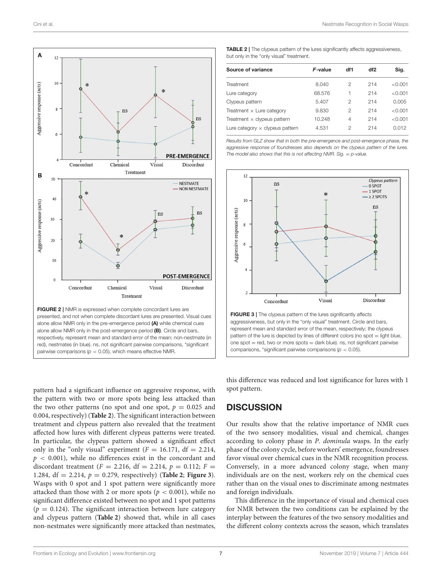

<span id="page-6-0"></span>pattern had a significant influence on aggressive response, with the pattern with two or more spots being less attacked than the two other patterns (no spot and one spot,  $p = 0.025$  and 0.004, respectively) (**[Table 2](#page-6-1)**). The significant interaction between treatment and clypeus pattern also revealed that the treatment affected how lures with different clypeus patterns were treated. In particular, the clypeus pattern showed a significant effect only in the "only visual" experiment  $(F = 16.171, df = 2.214,$  $p < 0.001$ ), while no differences exist in the concordant and discordant treatment ( $F = 2.216$ , df = 2.214,  $p = 0.112$ ;  $F =$ 1.284,  $df = 2.214$ ,  $p = 0.279$ , respectively) (**[Table 2](#page-6-1)**; **[Figure 3](#page-6-2)**). Wasps with 0 spot and 1 spot pattern were significantly more attacked than those with 2 or more spots ( $p < 0.001$ ), while no significant difference existed between no spot and 1 spot patterns  $(p = 0.124)$ . The significant interaction between lure category and clypeus pattern (**[Table 2](#page-6-1)**) showed that, while in all cases non-nestmates were significantly more attacked than nestmates,

<span id="page-6-1"></span>

| <b>TABLE 2</b>   The clypeus pattern of the lures significantly affects aggressiveness, |
|-----------------------------------------------------------------------------------------|
| but only in the "only visual" treatment.                                                |

| Source of variance                     | F-value | df1 | df2 | Sig.    |
|----------------------------------------|---------|-----|-----|---------|
| Treatment                              | 8.040   | 2   | 214 | < 0.001 |
| Lure category                          | 68.576  | 1   | 214 | < 0.001 |
| Clypeus pattern                        | 5.407   | 2   | 214 | 0.005   |
| Treatment $\times$ Lure category       | 9.830   | 2   | 214 | < 0.001 |
| Treatment $\times$ clypeus pattern     | 10.248  | 4   | 214 | < 0.001 |
| Lure category $\times$ clypeus pattern | 4.531   | 2   | 214 | 0.012   |
|                                        |         |     |     |         |

Results from GLZ show that in both the pre-emergence and post-emergence phase, the aggressive response of foundresses also depends on the clypeus pattern of the lures. The model also shows that this is not affecting NMR. Sig.  $=$  p-value.



<span id="page-6-2"></span>this difference was reduced and lost significance for lures with 1 spot pattern.

### **DISCUSSION**

Our results show that the relative importance of NMR cues of the two sensory modalities, visual and chemical, changes according to colony phase in P. dominula wasps. In the early phase of the colony cycle, before workers' emergence, foundresses favor visual over chemical cues in the NMR recognition process. Conversely, in a more advanced colony stage, when many individuals are on the nest, workers rely on the chemical cues rather than on the visual ones to discriminate among nestmates and foreign individuals.

This difference in the importance of visual and chemical cues for NMR between the two conditions can be explained by the interplay between the features of the two sensory modalities and the different colony contexts across the season, which translates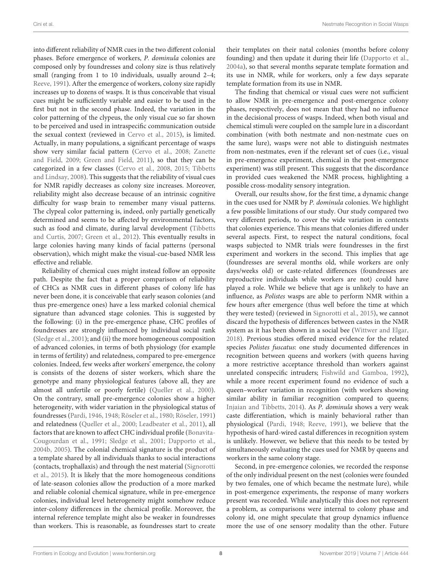Cini et al. Nestmate Recognition in Social Wasps

into different reliability of NMR cues in the two different colonial phases. Before emergence of workers, P. dominula colonies are composed only by foundresses and colony size is thus relatively small (ranging from 1 to 10 individuals, usually around 2–4; [Reeve, 1991\)](#page-10-14). After the emergence of workers, colony size rapidly increases up to dozens of wasps. It is thus conceivable that visual cues might be sufficiently variable and easier to be used in the first but not in the second phase. Indeed, the variation in the color patterning of the clypeus, the only visual cue so far shown to be perceived and used in intraspecific communication outside the sexual context (reviewed in [Cervo et al., 2015\)](#page-9-1), is limited. Actually, in many populations, a significant percentage of wasps show very similar facial pattern [\(Cervo et al., 2008;](#page-9-13) Zanette and Field, [2009;](#page-11-3) [Green and Field, 2011\)](#page-10-26), so that they can be categorized in a few classes [\(Cervo et al., 2008,](#page-9-13) [2015;](#page-9-1) Tibbetts and Lindsay, [2008\)](#page-10-21). This suggests that the reliability of visual cues for NMR rapidly decreases as colony size increases. Moreover, reliability might also decrease because of an intrinsic cognitive difficulty for wasp brain to remember many visual patterns. The clypeal color patterning is, indeed, only partially genetically determined and seems to be affected by environmental factors, such as food and climate, during larval development (Tibbetts and Curtis, [2007;](#page-10-27) [Green et al., 2012\)](#page-10-28). This eventually results in large colonies having many kinds of facial patterns (personal observation), which might make the visual-cue-based NMR less effective and reliable.

Reliability of chemical cues might instead follow an opposite path. Despite the fact that a proper comparison of reliability of CHCs as NMR cues in different phases of colony life has never been done, it is conceivable that early season colonies (and thus pre-emergence ones) have a less marked colonial chemical signature than advanced stage colonies. This is suggested by the following: (i) in the pre-emergence phase, CHC profiles of foundresses are strongly influenced by individual social rank [\(Sledge et al., 2001\)](#page-10-29); and (ii) the more homogeneous composition of advanced colonies, in terms of both physiology (for example in terms of fertility) and relatedness, compared to pre-emergence colonies. Indeed, few weeks after workers' emergence, the colony is consists of the dozens of sister workers, which share the genotype and many physiological features (above all, they are almost all unfertile or poorly fertile) [\(Queller et al., 2000\)](#page-10-24). On the contrary, small pre-emergence colonies show a higher heterogeneity, with wider variation in the physiological status of foundresses [\(Pardi, 1946,](#page-10-30) [1948;](#page-10-15) [Röseler et al., 1980;](#page-10-31) [Röseler, 1991\)](#page-10-32) and relatedness [\(Queller et al., 2000;](#page-10-24) [Leadbeater et al., 2011\)](#page-10-33), all factors that are known to affect CHC individual profile (Bonavita-Cougourdan et al., [1991;](#page-9-21) [Sledge et al., 2001;](#page-10-29) [Dapporto et al.,](#page-10-34) [2004b,](#page-10-34) [2005\)](#page-10-35). The colonial chemical signature is the product of a template shared by all individuals thanks to social interactions (contacts, trophallaxis) and through the nest material (Signorotti et al., [2015\)](#page-10-6). It is likely that the more homogeneous conditions of late-season colonies allow the production of a more marked and reliable colonial chemical signature, while in pre-emergence colonies, individual level heterogeneity might somehow reduce inter-colony differences in the chemical profile. Moreover, the internal reference template might also be weaker in foundresses than workers. This is reasonable, as foundresses start to create their templates on their natal colonies (months before colony founding) and then update it during their life [\(Dapporto et al.,](#page-10-36) [2004a\)](#page-10-36), so that several months separate template formation and its use in NMR, while for workers, only a few days separate template formation from its use in NMR.

The finding that chemical or visual cues were not sufficient to allow NMR in pre-emergence and post-emergence colony phases, respectively, does not mean that they had no influence in the decisional process of wasps. Indeed, when both visual and chemical stimuli were coupled on the sample lure in a discordant combination (with both nestmate and non-nestmate cues on the same lure), wasps were not able to distinguish nestmates from non-nestmates, even if the relevant set of cues (i.e., visual in pre-emergence experiment, chemical in the post-emergence experiment) was still present. This suggests that the discordance in provided cues weakened the NMR process, highlighting a possible cross-modality sensory integration.

Overall, our results show, for the first time, a dynamic change in the cues used for NMR by P. dominula colonies. We highlight a few possible limitations of our study. Our study compared two very different periods, to cover the wide variation in contexts that colonies experience. This means that colonies differed under several aspects. First, to respect the natural conditions, focal wasps subjected to NMR trials were foundresses in the first experiment and workers in the second. This implies that age (foundresses are several months old, while workers are only days/weeks old) or caste-related differences (foundresses are reproductive individuals while workers are not) could have played a role. While we believe that age is unlikely to have an influence, as Polistes wasps are able to perform NMR within a few hours after emergence (thus well before the time at which they were tested) (reviewed in [Signorotti et al., 2015\)](#page-10-6), we cannot discard the hypothesis of differences between castes in the NMR system as it has been shown in a social bee [\(Wittwer and Elgar,](#page-11-4) [2018\)](#page-11-4). Previous studies offered mixed evidence for the related species Polistes fuscatus: one study documented differences in recognition between queens and workers (with queens having a more restrictive acceptance threshold than workers against unrelated conspecific intruders; [Fishwild and Gamboa, 1992\)](#page-10-37), while a more recent experiment found no evidence of such a queen–worker variation in recognition (with workers showing similar ability in familiar recognition compared to queens; [Injaian and Tibbetts, 2014\)](#page-10-38). As P. dominula shows a very weak caste differentiation, which is mainly behavioral rather than physiological [\(Pardi, 1948;](#page-10-15) [Reeve, 1991\)](#page-10-14), we believe that the hypothesis of hard-wired castal differences in recognition system is unlikely. However, we believe that this needs to be tested by simultaneously evaluating the cues used for NMR by queens and workers in the same colony stage.

Second, in pre-emergence colonies, we recorded the response of the only individual present on the nest (colonies were founded by two females, one of which became the nestmate lure), while in post-emergence experiments, the response of many workers present was recorded. While analytically this does not represent a problem, as comparisons were internal to colony phase and colony id, one might speculate that group dynamics influence more the use of one sensory modality than the other. Future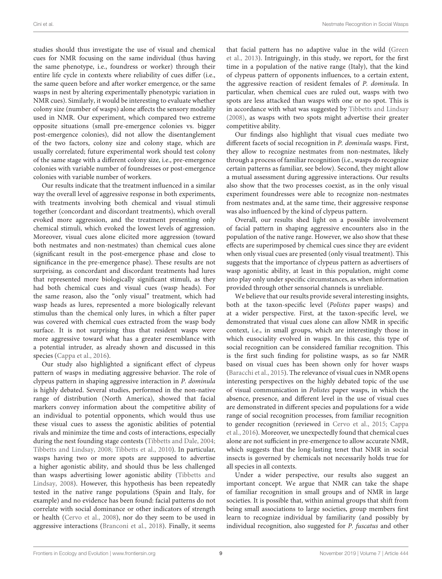studies should thus investigate the use of visual and chemical cues for NMR focusing on the same individual (thus having the same phenotype, i.e., foundress or worker) through their entire life cycle in contexts where reliability of cues differ (i.e., the same queen before and after worker emergence, or the same wasps in nest by altering experimentally phenotypic variation in NMR cues). Similarly, it would be interesting to evaluate whether colony size (number of wasps) alone affects the sensory modality used in NMR. Our experiment, which compared two extreme opposite situations (small pre-emergence colonies vs. bigger post-emergence colonies), did not allow the disentanglement of the two factors, colony size and colony stage, which are usually correlated; future experimental work should test colony of the same stage with a different colony size, i.e., pre-emergence colonies with variable number of foundresses or post-emergence colonies with variable number of workers.

Our results indicate that the treatment influenced in a similar way the overall level of aggressive response in both experiments, with treatments involving both chemical and visual stimuli together (concordant and discordant treatments), which overall evoked more aggression, and the treatment presenting only chemical stimuli, which evoked the lowest levels of aggression. Moreover, visual cues alone elicited more aggression (toward both nestmates and non-nestmates) than chemical cues alone (significant result in the post-emergence phase and close to significance in the pre-emergence phase). These results are not surprising, as concordant and discordant treatments had lures that represented more biologically significant stimuli, as they had both chemical cues and visual cues (wasp heads). For the same reason, also the "only visual" treatment, which had wasp heads as lures, represented a more biologically relevant stimulus than the chemical only lures, in which a filter paper was covered with chemical cues extracted from the wasp body surface. It is not surprising thus that resident wasps were more aggressive toward what has a greater resemblance with a potential intruder, as already shown and discussed in this species [\(Cappa et al., 2016\)](#page-9-14).

Our study also highlighted a significant effect of clypeus pattern of wasps in mediating aggressive behavior. The role of clypeus pattern in shaping aggressive interaction in P. dominula is highly debated. Several studies, performed in the non-native range of distribution (North America), showed that facial markers convey information about the competitive ability of an individual to potential opponents, which would thus use these visual cues to assess the agonistic abilities of potential rivals and minimize the time and costs of interactions, especially during the nest founding stage contests [\(Tibbetts and Dale, 2004;](#page-10-20) [Tibbetts and Lindsay, 2008;](#page-10-21) [Tibbetts et al., 2010\)](#page-10-39). In particular, wasps having two or more spots are supposed to advertise a higher agonistic ability, and should thus be less challenged than wasps advertising lower agonistic ability (Tibbetts and Lindsay, [2008\)](#page-10-21). However, this hypothesis has been repeatedly tested in the native range populations (Spain and Italy, for example) and no evidence has been found: facial patterns do not correlate with social dominance or other indicators of strength or health [\(Cervo et al., 2008\)](#page-9-13), nor do they seem to be used in aggressive interactions [\(Branconi et al., 2018\)](#page-9-22). Finally, it seems that facial pattern has no adaptive value in the wild (Green et al., [2013\)](#page-10-40). Intriguingly, in this study, we report, for the first time in a population of the native range (Italy), that the kind of clypeus pattern of opponents influences, to a certain extent, the aggressive reaction of resident females of P. dominula. In particular, when chemical cues are ruled out, wasps with two spots are less attacked than wasps with one or no spot. This is in accordance with what was suggested by [Tibbetts and Lindsay](#page-10-21) [\(2008\)](#page-10-21), as wasps with two spots might advertise their greater competitive ability.

Our findings also highlight that visual cues mediate two different facets of social recognition in P. dominula wasps. First, they allow to recognize nestmates from non-nestmates, likely through a process of familiar recognition (i.e., wasps do recognize certain patterns as familiar, see below). Second, they might allow a mutual assessment during aggressive interactions. Our results also show that the two processes coexist, as in the only visual experiment foundresses were able to recognize non-nestmates from nestmates and, at the same time, their aggressive response was also influenced by the kind of clypeus pattern.

Overall, our results shed light on a possible involvement of facial pattern in shaping aggressive encounters also in the population of the native range. However, we also show that these effects are superimposed by chemical cues since they are evident when only visual cues are presented (only visual treatment). This suggests that the importance of clypeus pattern as advertisers of wasp agonistic ability, at least in this population, might come into play only under specific circumstances, as when information provided through other sensorial channels is unreliable.

We believe that our results provide several interesting insights, both at the taxon-specific level (Polistes paper wasps) and at a wider perspective. First, at the taxon-specific level, we demonstrated that visual cues alone can allow NMR in specific context, i.e., in small groups, which are interestingly those in which eusociality evolved in wasps. In this case, this type of social recognition can be considered familiar recognition. This is the first such finding for polistine wasps, as so far NMR based on visual cues has been shown only for hover wasps [\(Baracchi et al., 2015\)](#page-9-9). The relevance of visual cues in NMR opens interesting perspectives on the highly debated topic of the use of visual communication in Polistes paper wasps, in which the absence, presence, and different level in the use of visual cues are demonstrated in different species and populations for a wide range of social recognition processes, from familiar recognition to gender recognition (reviewed in [Cervo et al., 2015;](#page-9-1) Cappa et al., [2016\)](#page-9-14). Moreover, we unexpectedly found that chemical cues alone are not sufficient in pre-emergence to allow accurate NMR, which suggests that the long-lasting tenet that NMR in social insects is governed by chemicals not necessarily holds true for all species in all contexts.

Under a wider perspective, our results also suggest an important concept. We argue that NMR can take the shape of familiar recognition in small groups and of NMR in large societies. It is possible that, within animal groups that shift from being small associations to large societies, group members first learn to recognize individual by familiarity (and possibly by individual recognition, also suggested for P. fuscatus and other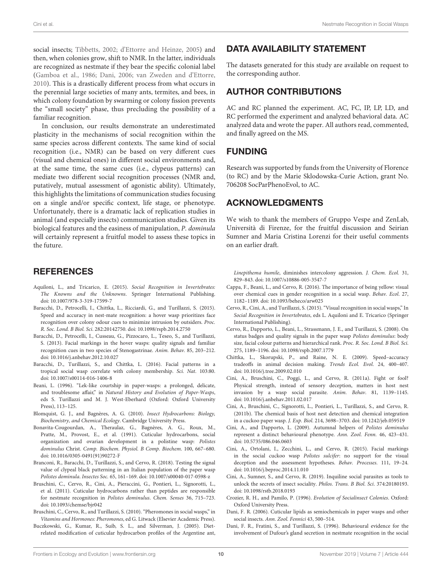social insects; [Tibbetts, 2002;](#page-10-41) [d'Ettorre and Heinze, 2005\)](#page-10-42) and then, when colonies grow, shift to NMR. In the latter, individuals are recognized as nestmate if they bear the specific colonial label [\(Gamboa et al., 1986;](#page-10-43) [Dani, 2006;](#page-9-5) [van Zweden and d'Ettorre,](#page-10-1) [2010\)](#page-10-1). This is a drastically different process from what occurs in the perennial large societies of many ants, termites, and bees, in which colony foundation by swarming or colony fission prevents the "small society" phase, thus precluding the possibility of a familiar recognition.

In conclusion, our results demonstrate an underestimated plasticity in the mechanisms of social recognition within the same species across different contexts. The same kind of social recognition (i.e., NMR) can be based on very different cues (visual and chemical ones) in different social environments and, at the same time, the same cues (i.e., clypeus patterns) can mediate two different social recognition processes (NMR and, putatively, mutual assessment of agonistic ability). Ultimately, this highlights the limitations of communication studies focusing on a single and/or specific context, life stage, or phenotype. Unfortunately, there is a dramatic lack of replication studies in animal (and especially insects) communication studies. Given its biological features and the easiness of manipulation, P. dominula will certainly represent a fruitful model to assess these topics in the future.

### **REFERENCES**

- <span id="page-9-0"></span>Aquiloni, L., and Tricarico, E. (2015). Social Recognition in Invertebrates: The Knowns and the Unknowns. Springer International Publishing. doi: [10.1007/978-3-319-17599-7](https://doi.org/10.1007/978-3-319-17599-7)
- <span id="page-9-9"></span>Baracchi, D., Petrocelli, I., Chittka, L., Ricciardi, G., and Turillazzi, S. (2015). Speed and accuracy in nest-mate recognition: a hover wasp prioritizes face recognition over colony odour cues to minimize intrusion by outsiders. Proc. R. Soc. Lond. B Biol. Sci. 282:20142750. doi: [10.1098/rspb.2014.2750](https://doi.org/10.1098/rspb.2014.2750)
- <span id="page-9-8"></span>Baracchi, D., Petrocelli, I., Cusseau, G., Pizzocaro, L., Teseo, S., and Turillazzi, S. (2013). Facial markings in the hover wasps: quality signals and familiar recognition cues in two species of Stenogastrinae. Anim. Behav. 85, 203–212. doi: [10.1016/j.anbehav.2012.10.027](https://doi.org/10.1016/j.anbehav.2012.10.027)
- <span id="page-9-10"></span>Baracchi, D., Turillazzi, S., and Chittka, L. (2016). Facial patterns in a tropical social wasp correlate with colony membership. Sci. Nat. 103:80. doi: [10.1007/s00114-016-1406-8](https://doi.org/10.1007/s00114-016-1406-8)
- <span id="page-9-16"></span>Beani, L. (1996). "Lek-like courtship in paper-wasps: a prolonged, delicate, and troublesome affair," in Natural History and Evolution of Paper-Wasps, eds S. Turillazzi and M. J. West-Eberhard (Oxford: Oxford University Press), 113–125.
- <span id="page-9-4"></span>Blomquist, G. J., and Bagnères, A. G. (2010). Insect Hydrocarbons: Biology, Biochemistry, and Chemical Ecology. Cambridge University Press.
- <span id="page-9-21"></span>Bonavita-Cougourdan, A., Theraulaz, G., Bagnères, A. G., Roux, M., Pratte, M., Provost, E., et al. (1991). Cuticular hydrocarbons, social organization and ovarian development in a polistine wasp: Polistes dominulus Christ. Comp. Biochem. Physiol. B Comp. Biochem. 100, 667–680. doi: [10.1016/0305-0491\(91\)90272-F](https://doi.org/10.1016/0305-0491(91)90272-F)
- <span id="page-9-22"></span>Branconi, R., Baracchi, D., Turillazzi, S., and Cervo, R. (2018). Testing the signal value of clypeal black patterning in an Italian population of the paper wasp Polistes dominula. Insectes Soc. 65, 161–169. doi: [10.1007/s00040-017-0598-z](https://doi.org/10.1007/s00040-017-0598-z)
- <span id="page-9-12"></span>Bruschini, C., Cervo, R., Cini, A., Pieraccini, G., Pontieri, L., Signorotti, L., et al. (2011). Cuticular hydrocarbons rather than peptides are responsible for nestmate recognition in Polistes dominulus. Chem. Senses 36, 715–723. doi: [10.1093/chemse/bjr042](https://doi.org/10.1093/chemse/bjr042)
- <span id="page-9-6"></span>Bruschini, C., Cervo, R., and Turillazzi, S. (2010). "Pheromones in social wasps," in Vitamins and Hormones: Pheromones, ed G. Litwack (Elsevier Academic Press).
- <span id="page-9-7"></span>Buczkowski, G., Kumar, R., Suib, S. L., and Silverman, J. (2005). Dietrelated modification of cuticular hydrocarbon profiles of the Argentine ant,

# DATA AVAILABILITY STATEMENT

The datasets generated for this study are available on request to the corresponding author.

# AUTHOR CONTRIBUTIONS

AC and RC planned the experiment. AC, FC, IP, LP, LD, and RC performed the experiment and analyzed behavioral data. AC analyzed data and wrote the paper. All authors read, commented, and finally agreed on the MS.

# FUNDING

Research was supported by funds from the University of Florence (to RC) and by the Marie Sklodowska-Curie Action, grant No. 706208 SocParPhenoEvol, to AC.

# ACKNOWLEDGMENTS

We wish to thank the members of Gruppo Vespe and ZenLab, Università di Firenze, for the fruitful discussion and Seirian Sumner and Maria Cristina Lorenzi for their useful comments on an earlier draft.

Linepithema humile, diminishes intercolony aggression. J. Chem. Ecol. 31, 829–843. doi: [10.1007/s10886-005-3547-7](https://doi.org/10.1007/s10886-005-3547-7)

- <span id="page-9-14"></span>Cappa, F., Beani, L., and Cervo, R. (2016). The importance of being yellow: visual over chemical cues in gender recognition in a social wasp. Behav. Ecol. 27, 1182–1189. doi: [10.1093/beheco/arw025](https://doi.org/10.1093/beheco/arw025)
- <span id="page-9-1"></span>Cervo, R., Cini, A., and Turillazzi, S. (2015). "Visual recognition in social wasps," In Social Recognition in Invertebrates, eds L. Aquiloni and E. Tricarico (Springer International Publishing).
- <span id="page-9-13"></span>Cervo, R., Dapporto, L., Beani, L., Strassmann, J. E., and Turillazzi, S. (2008). On status badges and quality signals in the paper wasp Polistes dominulus: body size, facial colour patterns and hierarchical rank. Proc. R. Soc. Lond. B Biol. Sci. 275, 1189–1196. doi: [10.1098/rspb.2007.1779](https://doi.org/10.1098/rspb.2007.1779)
- <span id="page-9-11"></span>Chittka, L., Skorupski, P., and Raine, N. E. (2009). Speed–accuracy tradeoffs in animal decision making. Trends Ecol. Evol. 24, 400–407. doi: [10.1016/j.tree.2009.02.010](https://doi.org/10.1016/j.tree.2009.02.010)
- <span id="page-9-18"></span>Cini, A., Bruschini, C., Poggi, L., and Cervo, R. (2011a). Fight or fool? Physical strength, instead of sensory deception, matters in host nest invasion by a wasp social parasite. Anim. Behav. 81, 1139–1145. doi: [10.1016/j.anbehav.2011.02.017](https://doi.org/10.1016/j.anbehav.2011.02.017)
- <span id="page-9-20"></span>Cini, A., Bruschini, C., Signorotti, L., Pontieri, L., Turillazzi, S., and Cervo, R. (2011b). The chemical basis of host nest detection and chemical integration in a cuckoo paper wasp. J. Exp. Biol. 214, 3698–3703. doi: [10.1242/jeb.059519](https://doi.org/10.1242/jeb.059519)
- <span id="page-9-17"></span>Cini, A., and Dapporto, L. (2009). Autumnal helpers of Polistes dominulus represent a distinct behavioural phenotype. Ann. Zool. Fenn. 46, 423–431. doi: [10.5735/086.046.0603](https://doi.org/10.5735/086.046.0603)
- <span id="page-9-15"></span>Cini, A., Ortolani, I., Zecchini, L., and Cervo, R. (2015). Facial markings in the social cuckoo wasp Polistes sulcifer: no support for the visual deception and the assessment hypotheses. Behav. Processes. 111, 19–24. doi: [10.1016/j.beproc.2014.11.010](https://doi.org/10.1016/j.beproc.2014.11.010)
- <span id="page-9-2"></span>Cini, A., Sumner, S., and Cervo, R. (2019). Inquiline social parasites as tools to unlock the secrets of insect sociality. Philos. Trans. B Biol. Sci. 374:20180193. doi: [10.1098/rstb.2018.0193](https://doi.org/10.1098/rstb.2018.0193)
- <span id="page-9-3"></span>Crozier, R. H., and Pamilo, P. (1996). Evolution of Socialinsect Colonies. Oxford: Oxford University Press.
- <span id="page-9-5"></span>Dani, F. R. (2006). Cuticular lipids as semiochemicals in paper wasps and other social insects. Ann. Zool. Fennici 43, 500–514.
- <span id="page-9-19"></span>Dani, F. R., Fratini, S., and Turillazzi, S. (1996). Behavioural evidence for the involvement of Dufour's gland secretion in nestmate recognition in the social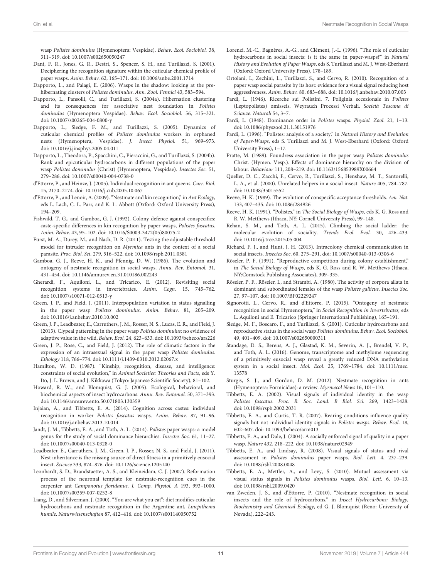wasp Polistes dominulus (Hymenoptera: Vespidae). Behav. Ecol. Sociobiol. 38, 311–319. doi: [10.1007/s002650050247](https://doi.org/10.1007/s002650050247)

- <span id="page-10-19"></span>Dani, F. R., Jones, G. R., Destri, S., Spencer, S. H., and Turillazzi, S. (2001). Deciphering the recognition signature within the cuticular chemical profile of paper wasps. Anim. Behav. 62, 165–171. doi: [10.1006/anbe.2001.1714](https://doi.org/10.1006/anbe.2001.1714)
- <span id="page-10-22"></span>Dapporto, L., and Palagi, E. (2006). Wasps in the shadow: looking at the prehibernating clusters of Polistes dominulus. Ann. Zool. Fennici 43, 583–594.
- <span id="page-10-36"></span>Dapporto, L., Pansolli, C., and Turillazzi, S. (2004a). Hibernation clustering and its consequences for associative nest foundation in Polistes dominulus (Hymenoptera Vespidae). Behav. Ecol. Sociobiol. 56, 315–321. doi: [10.1007/s00265-004-0800-y](https://doi.org/10.1007/s00265-004-0800-y)
- <span id="page-10-35"></span>Dapporto, L., Sledge, F. M., and Turillazzi, S. (2005). Dynamics of cuticular chemical profiles of Polistes dominulus workers in orphaned nests (Hymenoptera, Vespidae). J. Insect Physiol. 51, 969–973. doi: [10.1016/j.jinsphys.2005.04.011](https://doi.org/10.1016/j.jinsphys.2005.04.011)
- <span id="page-10-34"></span>Dapporto, L., Theodora, P., Spacchini, C., Pieraccini, G., and Turillazzi, S. (2004b). Rank and epicuticular hydrocarbons in different populations of the paper wasp Polistes dominulus (Christ) (Hymenoptera, Vespidae). Insectes Soc. 51, 279–286. doi: [10.1007/s00040-004-0738-0](https://doi.org/10.1007/s00040-004-0738-0)
- <span id="page-10-42"></span>d'Ettorre, P., and Heinze, J. (2005). Individual recognition in ant queens. Curr. Biol. 15, 2170–2174. doi: [10.1016/j.cub.2005.10.067](https://doi.org/10.1016/j.cub.2005.10.067)
- <span id="page-10-2"></span>d'Ettorre, P., and Lenoir, A. (2009). "Nestmate and kin recognition," in Ant Ecology, eds L. Lach, C. L. Parr, and K. L. Abbott (Oxford: Oxford University Press), 194–209.
- <span id="page-10-37"></span>Fishwild, T. G., and Gamboa, G. J. (1992). Colony defence against conspecifics: caste-specific differences in kin recognition by paper wasps, Polistes fuscatus. Anim. Behav. 43, 95–102. doi: [10.1016/S0003-3472\(05\)80075-2](https://doi.org/10.1016/S0003-3472(05)80075-2)
- <span id="page-10-3"></span>Fürst, M. A., Durey, M., and Nash, D. R. (2011). Testing the adjustable threshold model for intruder recognition on Myrmica ants in the context of a social parasite. Proc. Biol. Sci. 279, 516–522. doi: [10.1098/rspb.2011.0581](https://doi.org/10.1098/rspb.2011.0581)
- <span id="page-10-43"></span>Gamboa, G. J., Reeve, H. K., and Pfennig, D. W. (1986). The evolution and ontogeny of nestmate recognition in social wasps. Annu. Rev. Entomol. 31, 431–454. doi: [10.1146/annurev.en.31.010186.002243](https://doi.org/10.1146/annurev.en.31.010186.002243)
- <span id="page-10-0"></span>Gherardi, F., Aquiloni, L., and Tricarico, E. (2012). Revisiting social recognition systems in invertebrates. Anim. Cogn. 15, 745–762. doi: [10.1007/s10071-012-0513-y](https://doi.org/10.1007/s10071-012-0513-y)
- <span id="page-10-26"></span>Green, J. P., and Field, J. (2011). Interpopulation variation in status signalling in the paper wasp Polistes dominulus. Anim. Behav. 81, 205–209. doi: [10.1016/j.anbehav.2010.10.002](https://doi.org/10.1016/j.anbehav.2010.10.002)
- <span id="page-10-40"></span>Green, J. P., Leadbeater, E., Carruthers, J. M., Rosser, N. S., Lucas, E. R., and Field, J. (2013). Clypeal patterning in the paper wasp Polistes dominulus: no evidence of adaptive value in the wild. Behav. Ecol. 24, 623–633. doi: [10.1093/beheco/ars226](https://doi.org/10.1093/beheco/ars226)
- <span id="page-10-28"></span>Green, J. P., Rose, C., and Field, J. (2012). The role of climatic factors in the expression of an intrasexual signal in the paper wasp Polistes dominulus. Ethology 118, 766–774. doi: [10.1111/j.1439-0310.2012.02067.x](https://doi.org/10.1111/j.1439-0310.2012.02067.x)
- <span id="page-10-4"></span>Hamilton, W. D. (1987). "Kinship, recognition, disease, and intelligence: constraints of social evolution," in Animal Societies: Theories and Facts, eds Y. Ito, J. L. Brown, and J. Kikkawa (Tokyo: Japanese Scientific Society), 81–102.
- <span id="page-10-8"></span>Howard, R. W., and Blomquist, G. J. (2005). Ecological, behavioral, and biochemical aspects of insect hydrocarbons. Annu. Rev. Entomol. 50, 371–393. doi: [10.1146/annurev.ento.50.071803.130359](https://doi.org/10.1146/annurev.ento.50.071803.130359)
- <span id="page-10-38"></span>Injaian, A., and Tibbetts, E. A. (2014). Cognition across castes: individual recognition in worker Polistes fuscatus wasps. Anim. Behav. 87, 91–96. doi: [10.1016/j.anbehav.2013.10.014](https://doi.org/10.1016/j.anbehav.2013.10.014)
- <span id="page-10-17"></span>Jandt, J. M., Tibbetts, E. A., and Toth, A. L. (2014). Polistes paper wasps: a model genus for the study of social dominance hierarchies. Insectes Soc. 61, 11–27. doi: [10.1007/s00040-013-0328-0](https://doi.org/10.1007/s00040-013-0328-0)
- <span id="page-10-33"></span>Leadbeater, E., Carruthers, J. M., Green, J. P., Rosser, N. S., and Field, J. (2011). Nest inheritance is the missing source of direct fitness in a primitively eusocial insect. Science 333, 874–876. doi: [10.1126/science.1205140](https://doi.org/10.1126/science.1205140)
- <span id="page-10-5"></span>Leonhardt, S. D., Brandstaetter, A. S., and Kleineidam, C. J. (2007). Reformation process of the neuronal template for nestmate-recognition cues in the carpenter ant Camponotus floridanus. J. Comp. Physiol. A 193, 993–1000. doi: [10.1007/s00359-007-0252-8](https://doi.org/10.1007/s00359-007-0252-8)
- <span id="page-10-11"></span>Liang, D., and Silverman, J. (2000). "You are what you eat": diet modifies cuticular hydrocarbons and nestmate recognition in the Argentine ant, Linepithema humile. Naturwissenschaften 87, 412–416. doi: [10.1007/s001140050752](https://doi.org/10.1007/s001140050752)
- <span id="page-10-9"></span>Lorenzi, M.-C., Bagnères, A.-G., and Clément, J.-L. (1996). "The role of cuticular hydrocarbons in social insects: is it the same in paper-wasps?" in Natural History and Evolution of Paper Wasps, eds S. Turillazzi and M. J. West-Eberhard (Oxford: Oxford University Press), 178–189.
- <span id="page-10-25"></span>Ortolani, I., Zechini, L., Turillazzi, S., and Cervo, R. (2010). Recognition of a paper wasp social parasite by its host: evidence for a visual signal reducing host aggressiveness. Anim. Behav. 80, 683–688. doi: [10.1016/j.anbehav.2010.07.003](https://doi.org/10.1016/j.anbehav.2010.07.003)
- <span id="page-10-30"></span>Pardi, L. (1946). Ricerche sui Polistini. 7. Poliginia eccezionale in Polistes (Leptopolistes) omisseis. Weyrauch Processi Verbali. Società Toscana di Scianze. Naturali 54, 3–7.
- <span id="page-10-15"></span>Pardi, L. (1948). Dominance order in Polistes wasps. Physiol. Zool. 21, 1–13. doi: [10.1086/physzool.21.1.30151976](https://doi.org/10.1086/physzool.21.1.30151976)
- <span id="page-10-16"></span>Pardi, L. (1996). "Polistes: analysis of a society," in Natural History and Evolution of Paper-Wasps, eds S. Turillazzi and M. J. West-Eberhard (Oxford: Oxford University Press), 1–17.
- <span id="page-10-23"></span>Pratte, M. (1989). Foundress association in the paper wasp Polistes dominulus Christ. (Hymen. Vesp.). Effects of dominance hierarchy on the division of labour. Behaviour 111, 208–219. doi: [10.1163/156853989X00664](https://doi.org/10.1163/156853989X00664)
- <span id="page-10-24"></span>Queller, D. C., Zacchi, F., Cervo, R., Turillazzi, S., Henshaw, M. T., Santorelli, L. A., et al. (2000). Unrelated helpers in a social insect. Nature 405, 784–787. doi: [10.1038/35015552](https://doi.org/10.1038/35015552)
- <span id="page-10-7"></span>Reeve, H. K. (1989). The evolution of conspecific acceptance thresholds. Am. Nat. 133, 407–435. doi: [10.1086/284926](https://doi.org/10.1086/284926)
- <span id="page-10-14"></span>Reeve, H. K. (1991). "Polistes," in The Social Biology of Wasps, eds K. G. Ross and R. W. Metthews (Ithaca, NY: Cornell University Press), 99–148.
- <span id="page-10-13"></span>Rehan, S. M., and Toth, A. L. (2015). Climbing the social ladder: the molecular evolution of sociality. Trends Ecol. Evol. 30, 426–433. doi: [10.1016/j.tree.2015.05.004](https://doi.org/10.1016/j.tree.2015.05.004)
- <span id="page-10-12"></span>Richard, F. J., and Hunt, J. H. (2013). Intracolony chemical communication in social insects. Insectes Soc. 60, 275–291. doi: [10.1007/s00040-013-0306-6](https://doi.org/10.1007/s00040-013-0306-6)
- <span id="page-10-32"></span>Röseler, P. F. (1991). "Reproductive competition during colony establishment," in The Social Biology of Wasps, eds K. G. Ross and R. W. Metthews (Ithaca, NY:Comstock Publishing Associates), 309–335.
- <span id="page-10-31"></span>Röseler, P. F., Röseler, I., and Strambi, A. (1980). The activity of corpora allata in dominant and subordinated females of the wasp Polistes gallicus. Insectes Soc. 27, 97–107. doi: [10.1007/BF02229247](https://doi.org/10.1007/BF02229247)
- <span id="page-10-6"></span>Signorotti, L., Cervo, R., and d'Ettorre, P. (2015). "Ontogeny of nestmate recognition in social Hymenoptera," in Social Recognition in Invertebrates, eds L. Aquiloni and E. Tricarico (Springer International Publishing), 165–191.
- <span id="page-10-29"></span>Sledge, M. F., Boscaro, F., and Turillazzi, S. (2001). Cuticular hydrocarbons and reproductive status in the social wasp Polistes dominulus. Behav. Ecol. Sociobiol. 49, 401–409. doi: [10.1007/s002650000311](https://doi.org/10.1007/s002650000311)
- <span id="page-10-18"></span>Standage, D. S., Berens, A. J., Glastad, K. M., Severin, A. J., Brendel, V. P., and Toth, A. L. (2016). Genome, transcriptome and methylome sequencing of a primitively eusocial wasp reveal a greatly reduced DNA methylation system in a social insect. Mol. Ecol[. 25, 1769–1784. doi: 10.1111/mec.](https://doi.org/10.1111/mec.13578) 13578
- <span id="page-10-10"></span>Sturgis, S. J., and Gordon, D. M. (2012). Nestmate recognition in ants (Hymenoptera: Formicidae): a review. Myrmecol News 16, 101–110.
- <span id="page-10-41"></span>Tibbetts, E. A. (2002). Visual signals of individual identity in the wasp Polistes fuscatus. Proc. R. Soc. Lond. B Biol. Sci. 269, 1423–1428. doi: [10.1098/rspb.2002.2031](https://doi.org/10.1098/rspb.2002.2031)
- <span id="page-10-27"></span>Tibbetts, E. A., and Curtis, T. R. (2007). Rearing conditions influence quality signals but not individual identity signals in Polistes wasps. Behav. Ecol. 18, 602–607. doi: [10.1093/beheco/arm013](https://doi.org/10.1093/beheco/arm013)
- <span id="page-10-20"></span>Tibbetts, E. A., and Dale, J. (2004). A socially enforced signal of quality in a paper wasp. Nature 432, 218–222. doi: [10.1038/nature02949](https://doi.org/10.1038/nature02949)
- <span id="page-10-21"></span>Tibbetts, E. A., and Lindsay, R. (2008). Visual signals of status and rival assessment in Polistes dominulus paper wasps. Biol. Lett. 4, 237–239. doi: [10.1098/rsbl.2008.0048](https://doi.org/10.1098/rsbl.2008.0048)
- <span id="page-10-39"></span>Tibbetts, E. A., Mettler, A., and Levy, S. (2010). Mutual assessment via visual status signals in Polistes dominulus wasps. Biol. Lett. 6, 10–13. doi: [10.1098/rsbl.2009.0420](https://doi.org/10.1098/rsbl.2009.0420)
- <span id="page-10-1"></span>van Zweden, J. S., and d'Ettorre, P. (2010). "Nestmate recognition in social insects and the role of hydrocarbons," in Insect Hydrocarbons: Biology, Biochemistry and Chemical Ecology, ed G. J. Blomquist (Reno: University of Nevada), 222–243.